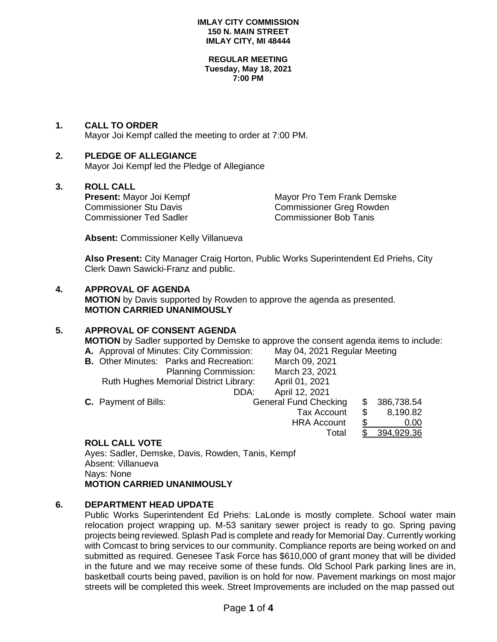#### **REGULAR MEETING Tuesday, May 18, 2021 7:00 PM**

## **1. CALL TO ORDER**

Mayor Joi Kempf called the meeting to order at 7:00 PM.

## **2. PLEDGE OF ALLEGIANCE**

Mayor Joi Kempf led the Pledge of Allegiance

## **3. ROLL CALL**

Commissioner Ted Sadler Commissioner Bob Tanis

**Present:** Mayor Joi Kempf Mayor Pro Tem Frank Demske Commissioner Stu Davis<br>
Commissioner Stu Davis Commissioner Greg Rowden Commissioner Greg Rowden

Total \$ 394,929

**Absent:** Commissioner Kelly Villanueva

**Also Present:** City Manager Craig Horton, Public Works Superintendent Ed Priehs, City Clerk Dawn Sawicki-Franz and public.

### **4. APPROVAL OF AGENDA**

**MOTION** by Davis supported by Rowden to approve the agenda as presented. **MOTION CARRIED UNANIMOUSLY**

## **5. APPROVAL OF CONSENT AGENDA**

**MOTION** by Sadler supported by Demske to approve the consent agenda items to include:<br>**A.** Approval of Minutes: City Commission: May 04, 2021 Reqular Meeting

**A.** Approval of Minutes: City Commission:<br>**B.** Other Minutes: Parks and Recreation:

|                             |                                                |  | $$ , $$ , $$ , $$ , $$ , $$ , $$ , $$ |     |            |
|-----------------------------|------------------------------------------------|--|---------------------------------------|-----|------------|
|                             | <b>B.</b> Other Minutes: Parks and Recreation: |  | March 09, 2021                        |     |            |
|                             | <b>Planning Commission:</b>                    |  | March 23, 2021                        |     |            |
|                             | <b>Ruth Hughes Memorial District Library:</b>  |  | April 01, 2021                        |     |            |
|                             | DDA:                                           |  | April 12, 2021                        |     |            |
| <b>C.</b> Payment of Bills: |                                                |  | <b>General Fund Checking</b>          | \$. | 386,738.54 |
|                             |                                                |  | <b>Tax Account</b>                    |     | 8,190.82   |
|                             |                                                |  | <b>HRA Account</b>                    |     | 0.00       |
|                             |                                                |  |                                       |     |            |

## **ROLL CALL VOTE**

Ayes: Sadler, Demske, Davis, Rowden, Tanis, Kempf Absent: Villanueva Nays: None **MOTION CARRIED UNANIMOUSLY**

### **6. DEPARTMENT HEAD UPDATE**

Public Works Superintendent Ed Priehs: LaLonde is mostly complete. School water main relocation project wrapping up. M-53 sanitary sewer project is ready to go. Spring paving projects being reviewed. Splash Pad is complete and ready for Memorial Day. Currently working with Comcast to bring services to our community. Compliance reports are being worked on and submitted as required. Genesee Task Force has \$610,000 of grant money that will be divided in the future and we may receive some of these funds. Old School Park parking lines are in, basketball courts being paved, pavilion is on hold for now. Pavement markings on most major streets will be completed this week. Street Improvements are included on the map passed out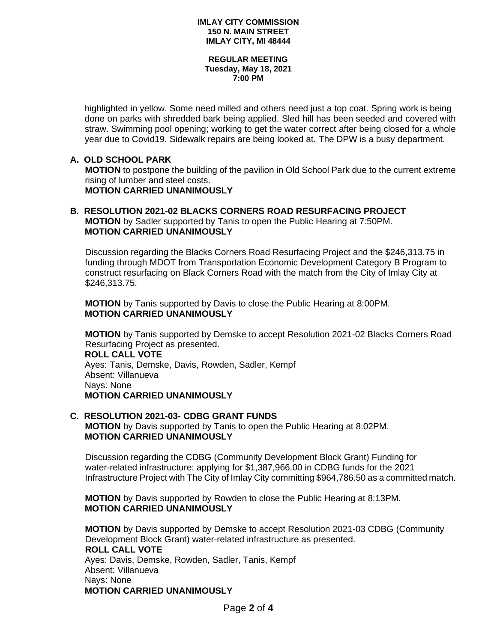#### **REGULAR MEETING Tuesday, May 18, 2021 7:00 PM**

highlighted in yellow. Some need milled and others need just a top coat. Spring work is being done on parks with shredded bark being applied. Sled hill has been seeded and covered with straw. Swimming pool opening; working to get the water correct after being closed for a whole year due to Covid19. Sidewalk repairs are being looked at. The DPW is a busy department.

## **A. OLD SCHOOL PARK**

 **MOTION** to postpone the building of the pavilion in Old School Park due to the current extreme rising of lumber and steel costs. **MOTION CARRIED UNANIMOUSLY**

### **B. RESOLUTION 2021-02 BLACKS CORNERS ROAD RESURFACING PROJECT MOTION** by Sadler supported by Tanis to open the Public Hearing at 7:50PM. **MOTION CARRIED UNANIMOUSLY**

 Discussion regarding the Blacks Corners Road Resurfacing Project and the \$246,313.75 in funding through MDOT from Transportation Economic Development Category B Program to construct resurfacing on Black Corners Road with the match from the City of Imlay City at \$246,313.75.

 **MOTION** by Tanis supported by Davis to close the Public Hearing at 8:00PM. **MOTION CARRIED UNANIMOUSLY**

 **MOTION** by Tanis supported by Demske to accept Resolution 2021-02 Blacks Corners Road Resurfacing Project as presented. **ROLL CALL VOTE** Ayes: Tanis, Demske, Davis, Rowden, Sadler, Kempf Absent: Villanueva Nays: None **MOTION CARRIED UNANIMOUSLY**

#### **C. RESOLUTION 2021-03- CDBG GRANT FUNDS MOTION** by Davis supported by Tanis to open the Public Hearing at 8:02PM. **MOTION CARRIED UNANIMOUSLY**

 Discussion regarding the CDBG (Community Development Block Grant) Funding for water-related infrastructure: applying for \$1,387,966.00 in CDBG funds for the 2021 Infrastructure Project with The City of Imlay City committing \$964,786.50 as a committed match.

 **MOTION** by Davis supported by Rowden to close the Public Hearing at 8:13PM. **MOTION CARRIED UNANIMOUSLY**

 **MOTION** by Davis supported by Demske to accept Resolution 2021-03 CDBG (Community Development Block Grant) water-related infrastructure as presented.  **ROLL CALL VOTE** Ayes: Davis, Demske, Rowden, Sadler, Tanis, Kempf Absent: Villanueva Nays: None **MOTION CARRIED UNANIMOUSLY**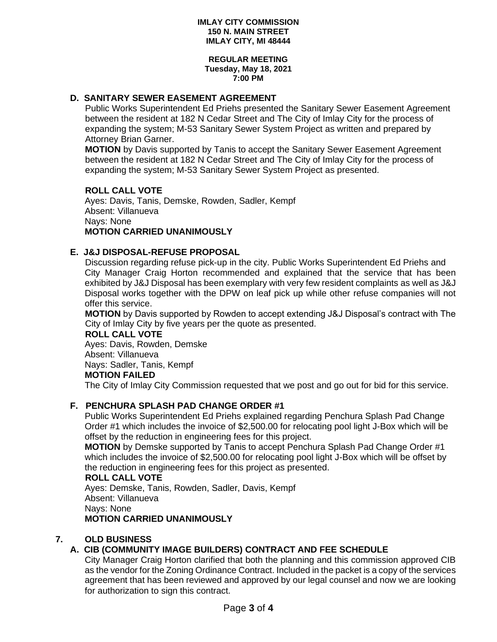#### **REGULAR MEETING Tuesday, May 18, 2021 7:00 PM**

## **D. SANITARY SEWER EASEMENT AGREEMENT**

Public Works Superintendent Ed Priehs presented the Sanitary Sewer Easement Agreement between the resident at 182 N Cedar Street and The City of Imlay City for the process of expanding the system; M-53 Sanitary Sewer System Project as written and prepared by Attorney Brian Garner.

 **MOTION** by Davis supported by Tanis to accept the Sanitary Sewer Easement Agreement between the resident at 182 N Cedar Street and The City of Imlay City for the process of expanding the system; M-53 Sanitary Sewer System Project as presented.

### **ROLL CALL VOTE**

Ayes: Davis, Tanis, Demske, Rowden, Sadler, Kempf Absent: Villanueva Nays: None **MOTION CARRIED UNANIMOUSLY**

### **E. J&J DISPOSAL-REFUSE PROPOSAL**

Discussion regarding refuse pick-up in the city. Public Works Superintendent Ed Priehs and City Manager Craig Horton recommended and explained that the service that has been exhibited by J&J Disposal has been exemplary with very few resident complaints as well as J&J Disposal works together with the DPW on leaf pick up while other refuse companies will not offer this service.

 **MOTION** by Davis supported by Rowden to accept extending J&J Disposal's contract with The City of Imlay City by five years per the quote as presented.

### **ROLL CALL VOTE**

Ayes: Davis, Rowden, Demske Absent: Villanueva Nays: Sadler, Tanis, Kempf **MOTION FAILED**

The City of Imlay City Commission requested that we post and go out for bid for this service.

## **F. PENCHURA SPLASH PAD CHANGE ORDER #1**

Public Works Superintendent Ed Priehs explained regarding Penchura Splash Pad Change Order #1 which includes the invoice of \$2,500.00 for relocating pool light J-Box which will be offset by the reduction in engineering fees for this project.

**MOTION** by Demske supported by Tanis to accept Penchura Splash Pad Change Order #1 which includes the invoice of \$2,500.00 for relocating pool light J-Box which will be offset by the reduction in engineering fees for this project as presented.

### **ROLL CALL VOTE**

Ayes: Demske, Tanis, Rowden, Sadler, Davis, Kempf Absent: Villanueva Nays: None **MOTION CARRIED UNANIMOUSLY**

### **7. OLD BUSINESS**

## **A. CIB (COMMUNITY IMAGE BUILDERS) CONTRACT AND FEE SCHEDULE**

City Manager Craig Horton clarified that both the planning and this commission approved CIB as the vendor for the Zoning Ordinance Contract. Included in the packet is a copy of the services agreement that has been reviewed and approved by our legal counsel and now we are looking for authorization to sign this contract.